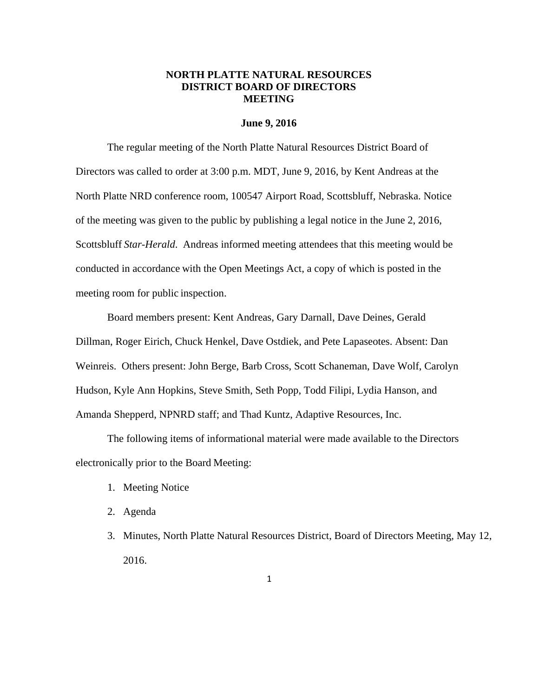# **NORTH PLATTE NATURAL RESOURCES DISTRICT BOARD OF DIRECTORS MEETING**

### **June 9, 2016**

The regular meeting of the North Platte Natural Resources District Board of Directors was called to order at 3:00 p.m. MDT, June 9, 2016, by Kent Andreas at the North Platte NRD conference room, 100547 Airport Road, Scottsbluff, Nebraska. Notice of the meeting was given to the public by publishing a legal notice in the June 2, 2016, Scottsbluff *Star-Herald*. Andreas informed meeting attendees that this meeting would be conducted in accordance with the Open Meetings Act, a copy of which is posted in the meeting room for public inspection.

Board members present: Kent Andreas, Gary Darnall, Dave Deines, Gerald Dillman, Roger Eirich, Chuck Henkel, Dave Ostdiek, and Pete Lapaseotes. Absent: Dan Weinreis. Others present: John Berge, Barb Cross, Scott Schaneman, Dave Wolf, Carolyn Hudson, Kyle Ann Hopkins, Steve Smith, Seth Popp, Todd Filipi, Lydia Hanson, and Amanda Shepperd, NPNRD staff; and Thad Kuntz, Adaptive Resources, Inc.

The following items of informational material were made available to the Directors electronically prior to the Board Meeting:

- 1. Meeting Notice
- 2. Agenda
- 3. Minutes, North Platte Natural Resources District, Board of Directors Meeting, May 12, 2016.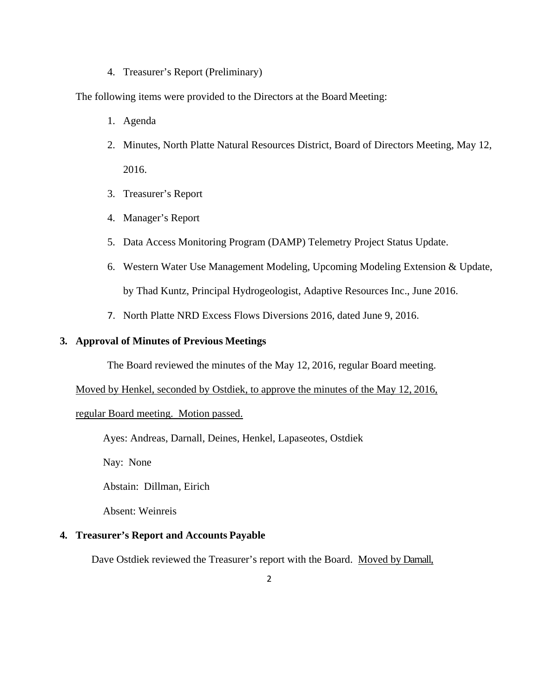4. Treasurer's Report (Preliminary)

The following items were provided to the Directors at the Board Meeting:

- 1. Agenda
- 2. Minutes, North Platte Natural Resources District, Board of Directors Meeting, May 12, 2016.
- 3. Treasurer's Report
- 4. Manager's Report
- 5. Data Access Monitoring Program (DAMP) Telemetry Project Status Update.
- 6. Western Water Use Management Modeling, Upcoming Modeling Extension & Update, by Thad Kuntz, Principal Hydrogeologist, Adaptive Resources Inc., June 2016.
- 7. North Platte NRD Excess Flows Diversions 2016, dated June 9, 2016.

# **3. Approval of Minutes of Previous Meetings**

The Board reviewed the minutes of the May 12, 2016, regular Board meeting.

### Moved by Henkel, seconded by Ostdiek, to approve the minutes of the May 12, 2016,

## regular Board meeting. Motion passed.

Ayes: Andreas, Darnall, Deines, Henkel, Lapaseotes, Ostdiek

Nay: None

Abstain: Dillman, Eirich

Absent: Weinreis

## **4. Treasurer's Report and Accounts Payable**

Dave Ostdiek reviewed the Treasurer's report with the Board. Moved by Darnall,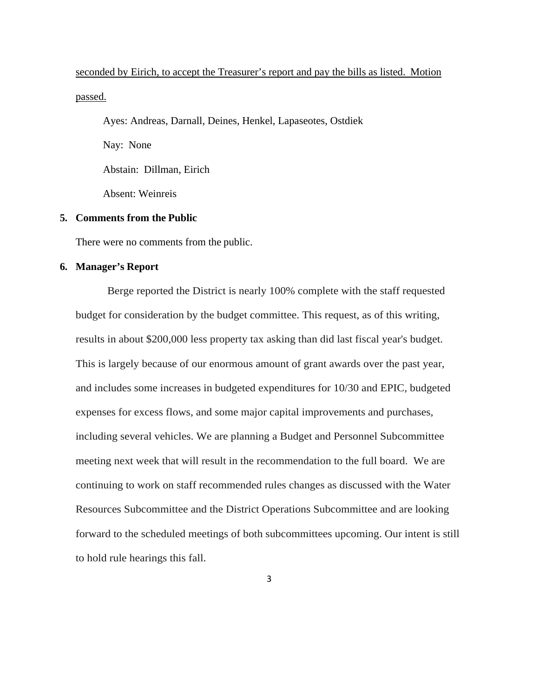seconded by Eirich, to accept the Treasurer's report and pay the bills as listed. Motion passed.

Ayes: Andreas, Darnall, Deines, Henkel, Lapaseotes, Ostdiek

Nay: None

Abstain: Dillman, Eirich

Absent: Weinreis

# **5. Comments from the Public**

There were no comments from the public.

# **6. Manager's Report**

Berge reported the District is nearly 100% complete with the staff requested budget for consideration by the budget committee. This request, as of this writing, results in about \$200,000 less property tax asking than did last fiscal year's budget. This is largely because of our enormous amount of grant awards over the past year, and includes some increases in budgeted expenditures for 10/30 and EPIC, budgeted expenses for excess flows, and some major capital improvements and purchases, including several vehicles. We are planning a Budget and Personnel Subcommittee meeting next week that will result in the recommendation to the full board. We are continuing to work on staff recommended rules changes as discussed with the Water Resources Subcommittee and the District Operations Subcommittee and are looking forward to the scheduled meetings of both subcommittees upcoming. Our intent is still to hold rule hearings this fall.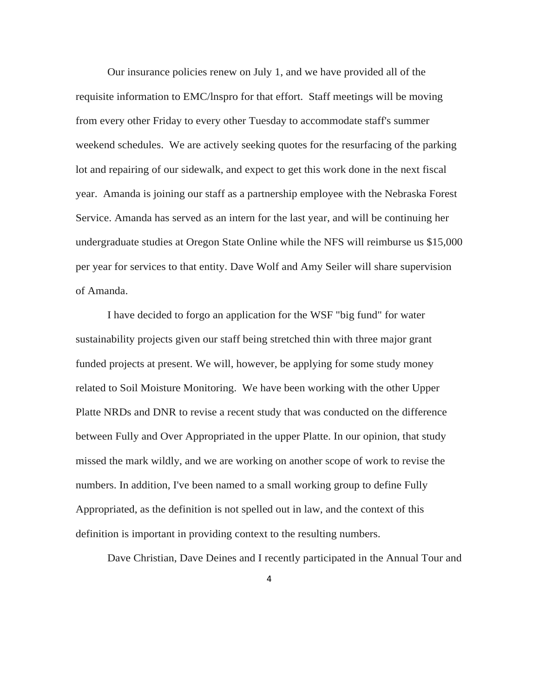Our insurance policies renew on July 1, and we have provided all of the requisite information to EMC/lnspro for that effort. Staff meetings will be moving from every other Friday to every other Tuesday to accommodate staff's summer weekend schedules. We are actively seeking quotes for the resurfacing of the parking lot and repairing of our sidewalk, and expect to get this work done in the next fiscal year. Amanda is joining our staff as a partnership employee with the Nebraska Forest Service. Amanda has served as an intern for the last year, and will be continuing her undergraduate studies at Oregon State Online while the NFS will reimburse us \$15,000 per year for services to that entity. Dave Wolf and Amy Seiler will share supervision of Amanda.

I have decided to forgo an application for the WSF "big fund" for water sustainability projects given our staff being stretched thin with three major grant funded projects at present. We will, however, be applying for some study money related to Soil Moisture Monitoring. We have been working with the other Upper Platte NRDs and DNR to revise a recent study that was conducted on the difference between Fully and Over Appropriated in the upper Platte. In our opinion, that study missed the mark wildly, and we are working on another scope of work to revise the numbers. In addition, I've been named to a small working group to define Fully Appropriated, as the definition is not spelled out in law, and the context of this definition is important in providing context to the resulting numbers.

Dave Christian, Dave Deines and I recently participated in the Annual Tour and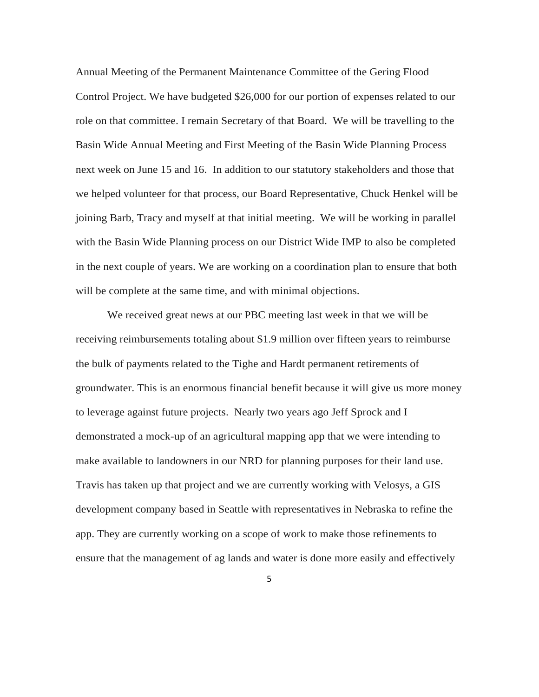Annual Meeting of the Permanent Maintenance Committee of the Gering Flood Control Project. We have budgeted \$26,000 for our portion of expenses related to our role on that committee. I remain Secretary of that Board. We will be travelling to the Basin Wide Annual Meeting and First Meeting of the Basin Wide Planning Process next week on June 15 and 16. In addition to our statutory stakeholders and those that we helped volunteer for that process, our Board Representative, Chuck Henkel will be joining Barb, Tracy and myself at that initial meeting. We will be working in parallel with the Basin Wide Planning process on our District Wide IMP to also be completed in the next couple of years. We are working on a coordination plan to ensure that both will be complete at the same time, and with minimal objections.

We received great news at our PBC meeting last week in that we will be receiving reimbursements totaling about \$1.9 million over fifteen years to reimburse the bulk of payments related to the Tighe and Hardt permanent retirements of groundwater. This is an enormous financial benefit because it will give us more money to leverage against future projects. Nearly two years ago Jeff Sprock and I demonstrated a mock-up of an agricultural mapping app that we were intending to make available to landowners in our NRD for planning purposes for their land use. Travis has taken up that project and we are currently working with Velosys, a GIS development company based in Seattle with representatives in Nebraska to refine the app. They are currently working on a scope of work to make those refinements to ensure that the management of ag lands and water is done more easily and effectively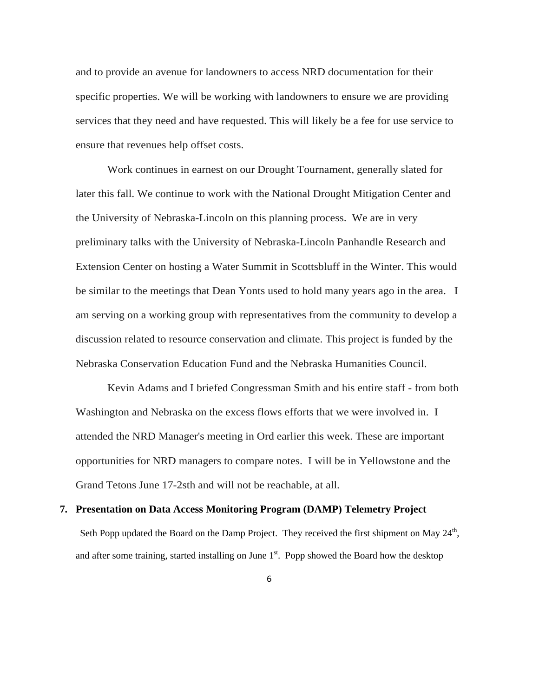and to provide an avenue for landowners to access NRD documentation for their specific properties. We will be working with landowners to ensure we are providing services that they need and have requested. This will likely be a fee for use service to ensure that revenues help offset costs.

Work continues in earnest on our Drought Tournament, generally slated for later this fall. We continue to work with the National Drought Mitigation Center and the University of Nebraska-Lincoln on this planning process. We are in very preliminary talks with the University of Nebraska-Lincoln Panhandle Research and Extension Center on hosting a Water Summit in Scottsbluff in the Winter. This would be similar to the meetings that Dean Yonts used to hold many years ago in the area. I am serving on a working group with representatives from the community to develop a discussion related to resource conservation and climate. This project is funded by the Nebraska Conservation Education Fund and the Nebraska Humanities Council.

Kevin Adams and I briefed Congressman Smith and his entire staff - from both Washington and Nebraska on the excess flows efforts that we were involved in. I attended the NRD Manager's meeting in Ord earlier this week. These are important opportunities for NRD managers to compare notes. I will be in Yellowstone and the Grand Tetons June 17-2sth and will not be reachable, at all.

### **7. Presentation on Data Access Monitoring Program (DAMP) Telemetry Project**

Seth Popp updated the Board on the Damp Project. They received the first shipment on May  $24<sup>th</sup>$ , and after some training, started installing on June  $1<sup>st</sup>$ . Popp showed the Board how the desktop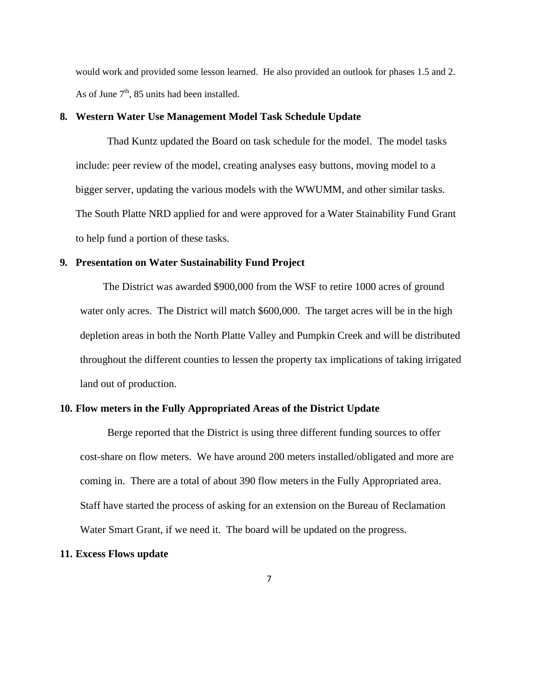would work and provided some lesson learned. He also provided an outlook for phases 1.5 and 2. As of June  $7<sup>th</sup>$ , 85 units had been installed.

# **8. Western Water Use Management Model Task Schedule Update**

Thad Kuntz updated the Board on task schedule for the model. The model tasks include: peer review of the model, creating analyses easy buttons, moving model to a bigger server, updating the various models with the WWUMM, and other similar tasks. The South Platte NRD applied for and were approved for a Water Stainability Fund Grant to help fund a portion of these tasks.

#### **9. Presentation on Water Sustainability Fund Project**

The District was awarded \$900,000 from the WSF to retire 1000 acres of ground water only acres. The District will match \$600,000. The target acres will be in the high depletion areas in both the North Platte Valley and Pumpkin Creek and will be distributed throughout the different counties to lessen the property tax implications of taking irrigated land out of production.

### **10. Flow meters in the Fully Appropriated Areas of the District Update**

Berge reported that the District is using three different funding sources to offer cost-share on flow meters. We have around 200 meters installed/obligated and more are coming in. There are a total of about 390 flow meters in the Fully Appropriated area. Staff have started the process of asking for an extension on the Bureau of Reclamation Water Smart Grant, if we need it. The board will be updated on the progress.

## **11. Excess Flows update**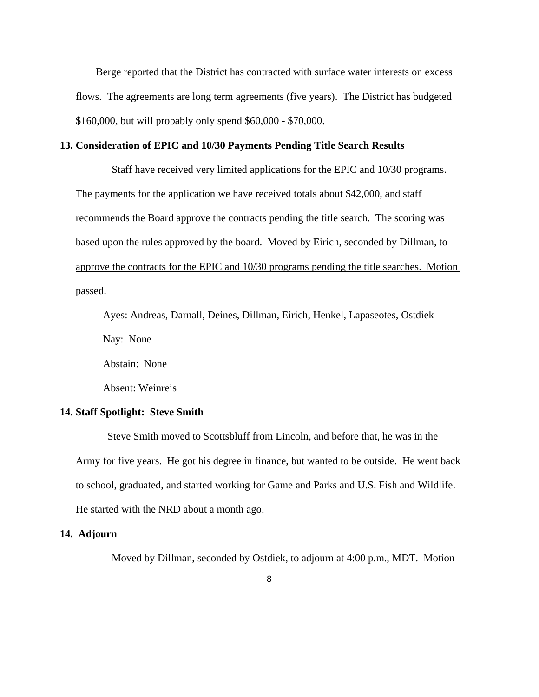Berge reported that the District has contracted with surface water interests on excess flows. The agreements are long term agreements (five years). The District has budgeted \$160,000, but will probably only spend \$60,000 - \$70,000.

# **13. Consideration of EPIC and 10/30 Payments Pending Title Search Results**

 Staff have received very limited applications for the EPIC and 10/30 programs. The payments for the application we have received totals about \$42,000, and staff recommends the Board approve the contracts pending the title search. The scoring was based upon the rules approved by the board. Moved by Eirich, seconded by Dillman, to approve the contracts for the EPIC and 10/30 programs pending the title searches. Motion passed.

Ayes: Andreas, Darnall, Deines, Dillman, Eirich, Henkel, Lapaseotes, Ostdiek Nay: None

Abstain: None

Absent: Weinreis

# **14. Staff Spotlight: Steve Smith**

Steve Smith moved to Scottsbluff from Lincoln, and before that, he was in the Army for five years. He got his degree in finance, but wanted to be outside. He went back to school, graduated, and started working for Game and Parks and U.S. Fish and Wildlife. He started with the NRD about a month ago.

# **14. Adjourn**

Moved by Dillman, seconded by Ostdiek, to adjourn at 4:00 p.m., MDT. Motion